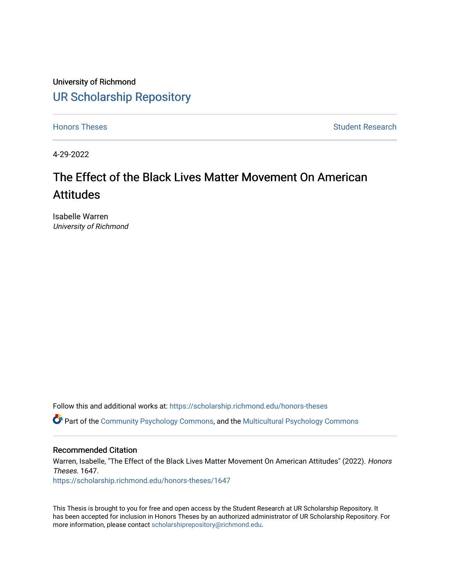University of Richmond [UR Scholarship Repository](https://scholarship.richmond.edu/) 

[Honors Theses](https://scholarship.richmond.edu/honors-theses) **Student Research Honors** Theses Student Research

4-29-2022

# The Effect of the Black Lives Matter Movement On American Attitudes

Isabelle Warren University of Richmond

Follow this and additional works at: [https://scholarship.richmond.edu/honors-theses](https://scholarship.richmond.edu/honors-theses?utm_source=scholarship.richmond.edu%2Fhonors-theses%2F1647&utm_medium=PDF&utm_campaign=PDFCoverPages)

Part of the [Community Psychology Commons,](https://network.bepress.com/hgg/discipline/409?utm_source=scholarship.richmond.edu%2Fhonors-theses%2F1647&utm_medium=PDF&utm_campaign=PDFCoverPages) and the [Multicultural Psychology Commons](https://network.bepress.com/hgg/discipline/1237?utm_source=scholarship.richmond.edu%2Fhonors-theses%2F1647&utm_medium=PDF&utm_campaign=PDFCoverPages)

# Recommended Citation

Warren, Isabelle, "The Effect of the Black Lives Matter Movement On American Attitudes" (2022). Honors Theses. 1647.

[https://scholarship.richmond.edu/honors-theses/1647](https://scholarship.richmond.edu/honors-theses/1647?utm_source=scholarship.richmond.edu%2Fhonors-theses%2F1647&utm_medium=PDF&utm_campaign=PDFCoverPages) 

This Thesis is brought to you for free and open access by the Student Research at UR Scholarship Repository. It has been accepted for inclusion in Honors Theses by an authorized administrator of UR Scholarship Repository. For more information, please contact [scholarshiprepository@richmond.edu](mailto:scholarshiprepository@richmond.edu).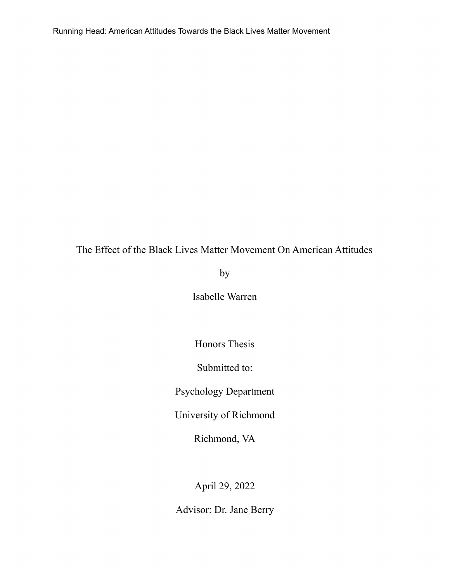# The Effect of the Black Lives Matter Movement On American Attitudes

by

Isabelle Warren

Honors Thesis

Submitted to:

Psychology Department

University of Richmond

Richmond, VA

April 29, 2022

Advisor: Dr. Jane Berry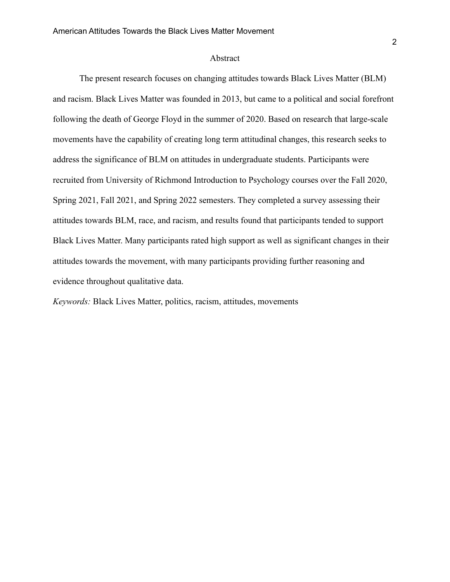#### Abstract

The present research focuses on changing attitudes towards Black Lives Matter (BLM) and racism. Black Lives Matter was founded in 2013, but came to a political and social forefront following the death of George Floyd in the summer of 2020. Based on research that large-scale movements have the capability of creating long term attitudinal changes, this research seeks to address the significance of BLM on attitudes in undergraduate students. Participants were recruited from University of Richmond Introduction to Psychology courses over the Fall 2020, Spring 2021, Fall 2021, and Spring 2022 semesters. They completed a survey assessing their attitudes towards BLM, race, and racism, and results found that participants tended to support Black Lives Matter. Many participants rated high support as well as significant changes in their attitudes towards the movement, with many participants providing further reasoning and evidence throughout qualitative data.

*Keywords:* Black Lives Matter, politics, racism, attitudes, movements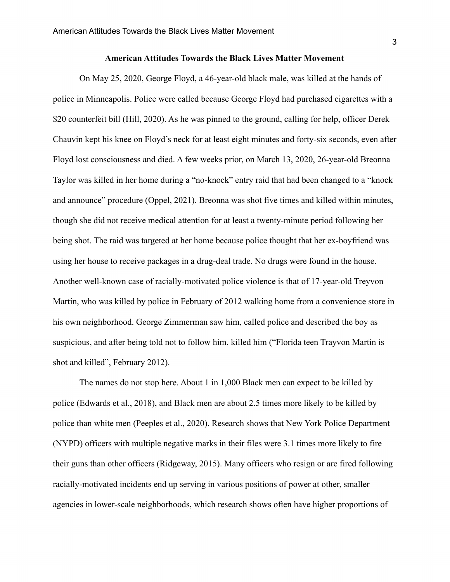#### **American Attitudes Towards the Black Lives Matter Movement**

On May 25, 2020, George Floyd, a 46-year-old black male, was killed at the hands of police in Minneapolis. Police were called because George Floyd had purchased cigarettes with a \$20 counterfeit bill (Hill, 2020). As he was pinned to the ground, calling for help, officer Derek Chauvin kept his knee on Floyd's neck for at least eight minutes and forty-six seconds, even after Floyd lost consciousness and died. A few weeks prior, on March 13, 2020, 26-year-old Breonna Taylor was killed in her home during a "no-knock" entry raid that had been changed to a "knock and announce" procedure (Oppel, 2021). Breonna was shot five times and killed within minutes, though she did not receive medical attention for at least a twenty-minute period following her being shot. The raid was targeted at her home because police thought that her ex-boyfriend was using her house to receive packages in a drug-deal trade. No drugs were found in the house. Another well-known case of racially-motivated police violence is that of 17-year-old Treyvon Martin, who was killed by police in February of 2012 walking home from a convenience store in his own neighborhood. George Zimmerman saw him, called police and described the boy as suspicious, and after being told not to follow him, killed him ("Florida teen Trayvon Martin is shot and killed", February 2012).

The names do not stop here. About 1 in 1,000 Black men can expect to be killed by police (Edwards et al., 2018), and Black men are about 2.5 times more likely to be killed by police than white men (Peeples et al., 2020). Research shows that New York Police Department (NYPD) officers with multiple negative marks in their files were 3.1 times more likely to fire their guns than other officers (Ridgeway, 2015). Many officers who resign or are fired following racially-motivated incidents end up serving in various positions of power at other, smaller agencies in lower-scale neighborhoods, which research shows often have higher proportions of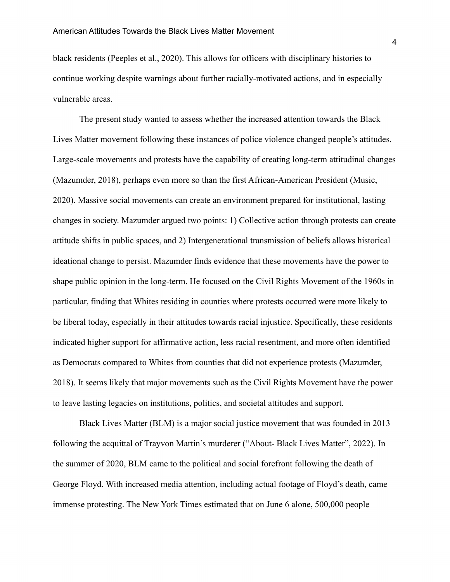black residents (Peeples et al., 2020). This allows for officers with disciplinary histories to continue working despite warnings about further racially-motivated actions, and in especially vulnerable areas.

The present study wanted to assess whether the increased attention towards the Black Lives Matter movement following these instances of police violence changed people's attitudes. Large-scale movements and protests have the capability of creating long-term attitudinal changes (Mazumder, 2018), perhaps even more so than the first African-American President (Music, 2020). Massive social movements can create an environment prepared for institutional, lasting changes in society. Mazumder argued two points: 1) Collective action through protests can create attitude shifts in public spaces, and 2) Intergenerational transmission of beliefs allows historical ideational change to persist. Mazumder finds evidence that these movements have the power to shape public opinion in the long-term. He focused on the Civil Rights Movement of the 1960s in particular, finding that Whites residing in counties where protests occurred were more likely to be liberal today, especially in their attitudes towards racial injustice. Specifically, these residents indicated higher support for affirmative action, less racial resentment, and more often identified as Democrats compared to Whites from counties that did not experience protests (Mazumder, 2018). It seems likely that major movements such as the Civil Rights Movement have the power to leave lasting legacies on institutions, politics, and societal attitudes and support.

Black Lives Matter (BLM) is a major social justice movement that was founded in 2013 following the acquittal of Trayvon Martin's murderer ("About- Black Lives Matter", 2022). In the summer of 2020, BLM came to the political and social forefront following the death of George Floyd. With increased media attention, including actual footage of Floyd's death, came immense protesting. The New York Times estimated that on June 6 alone, 500,000 people

4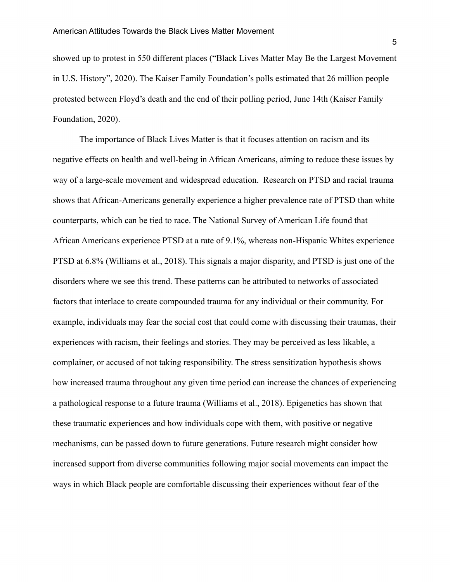showed up to protest in 550 different places ("Black Lives Matter May Be the Largest Movement in U.S. History", 2020). The Kaiser Family Foundation's polls estimated that 26 million people protested between Floyd's death and the end of their polling period, June 14th (Kaiser Family Foundation, 2020).

The importance of Black Lives Matter is that it focuses attention on racism and its negative effects on health and well-being in African Americans, aiming to reduce these issues by way of a large-scale movement and widespread education. Research on PTSD and racial trauma shows that African-Americans generally experience a higher prevalence rate of PTSD than white counterparts, which can be tied to race. The National Survey of American Life found that African Americans experience PTSD at a rate of 9.1%, whereas non-Hispanic Whites experience PTSD at 6.8% (Williams et al., 2018). This signals a major disparity, and PTSD is just one of the disorders where we see this trend. These patterns can be attributed to networks of associated factors that interlace to create compounded trauma for any individual or their community. For example, individuals may fear the social cost that could come with discussing their traumas, their experiences with racism, their feelings and stories. They may be perceived as less likable, a complainer, or accused of not taking responsibility. The stress sensitization hypothesis shows how increased trauma throughout any given time period can increase the chances of experiencing a pathological response to a future trauma (Williams et al., 2018). Epigenetics has shown that these traumatic experiences and how individuals cope with them, with positive or negative mechanisms, can be passed down to future generations. Future research might consider how increased support from diverse communities following major social movements can impact the ways in which Black people are comfortable discussing their experiences without fear of the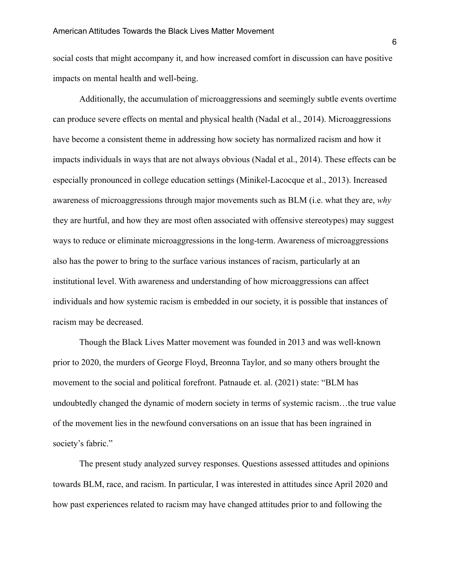social costs that might accompany it, and how increased comfort in discussion can have positive impacts on mental health and well-being.

Additionally, the accumulation of microaggressions and seemingly subtle events overtime can produce severe effects on mental and physical health (Nadal et al., 2014). Microaggressions have become a consistent theme in addressing how society has normalized racism and how it impacts individuals in ways that are not always obvious (Nadal et al., 2014). These effects can be especially pronounced in college education settings (Minikel-Lacocque et al., 2013). Increased awareness of microaggressions through major movements such as BLM (i.e. what they are, *why* they are hurtful, and how they are most often associated with offensive stereotypes) may suggest ways to reduce or eliminate microaggressions in the long-term. Awareness of microaggressions also has the power to bring to the surface various instances of racism, particularly at an institutional level. With awareness and understanding of how microaggressions can affect individuals and how systemic racism is embedded in our society, it is possible that instances of racism may be decreased.

Though the Black Lives Matter movement was founded in 2013 and was well-known prior to 2020, the murders of George Floyd, Breonna Taylor, and so many others brought the movement to the social and political forefront. Patnaude et. al. (2021) state: "BLM has undoubtedly changed the dynamic of modern society in terms of systemic racism…the true value of the movement lies in the newfound conversations on an issue that has been ingrained in society's fabric."

The present study analyzed survey responses. Questions assessed attitudes and opinions towards BLM, race, and racism. In particular, I was interested in attitudes since April 2020 and how past experiences related to racism may have changed attitudes prior to and following the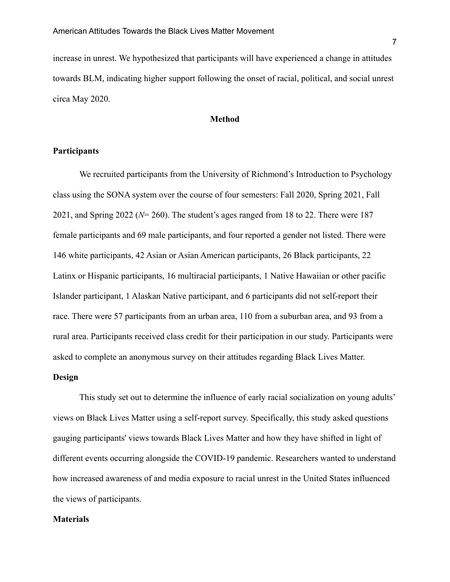increase in unrest. We hypothesized that participants will have experienced a change in attitudes towards BLM, indicating higher support following the onset of racial, political, and social unrest circa May 2020.

# **Method**

# **Participants**

We recruited participants from the University of Richmond's Introduction to Psychology class using the SONA system over the course of four semesters: Fall 2020, Spring 2021, Fall 2021, and Spring 2022 (*N*= 260). The student's ages ranged from 18 to 22. There were 187 female participants and 69 male participants, and four reported a gender not listed. There were 146 white participants, 42 Asian or Asian American participants, 26 Black participants, 22 Latinx or Hispanic participants, 16 multiracial participants, 1 Native Hawaiian or other pacific Islander participant, 1 Alaskan Native participant, and 6 participants did not self-report their race. There were 57 participants from an urban area, 110 from a suburban area, and 93 from a rural area. Participants received class credit for their participation in our study. Participants were asked to complete an anonymous survey on their attitudes regarding Black Lives Matter.

# **Design**

This study set out to determine the influence of early racial socialization on young adults' views on Black Lives Matter using a self-report survey. Specifically, this study asked questions gauging participants' views towards Black Lives Matter and how they have shifted in light of different events occurring alongside the COVID-19 pandemic. Researchers wanted to understand how increased awareness of and media exposure to racial unrest in the United States influenced the views of participants.

### **Materials**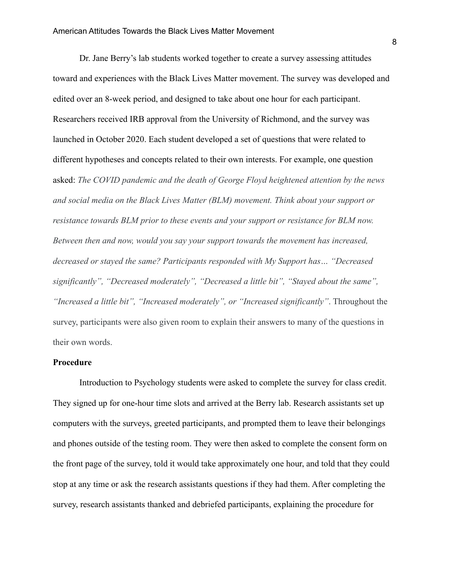Dr. Jane Berry's lab students worked together to create a survey assessing attitudes toward and experiences with the Black Lives Matter movement. The survey was developed and edited over an 8-week period, and designed to take about one hour for each participant. Researchers received IRB approval from the University of Richmond, and the survey was launched in October 2020. Each student developed a set of questions that were related to different hypotheses and concepts related to their own interests. For example, one question asked: *The COVID pandemic and the death of George Floyd heightened attention by the news and social media on the Black Lives Matter (BLM) movement. Think about your support or resistance towards BLM prior to these events and your support or resistance for BLM now. Between then and now, would you say your support towards the movement has increased, decreased or stayed the same? Participants responded with My Support has… "Decreased significantly", "Decreased moderately", "Decreased a little bit", "Stayed about the same", "Increased a little bit", "Increased moderately", or "Increased significantly"*. Throughout the survey, participants were also given room to explain their answers to many of the questions in their own words.

#### **Procedure**

Introduction to Psychology students were asked to complete the survey for class credit. They signed up for one-hour time slots and arrived at the Berry lab. Research assistants set up computers with the surveys, greeted participants, and prompted them to leave their belongings and phones outside of the testing room. They were then asked to complete the consent form on the front page of the survey, told it would take approximately one hour, and told that they could stop at any time or ask the research assistants questions if they had them. After completing the survey, research assistants thanked and debriefed participants, explaining the procedure for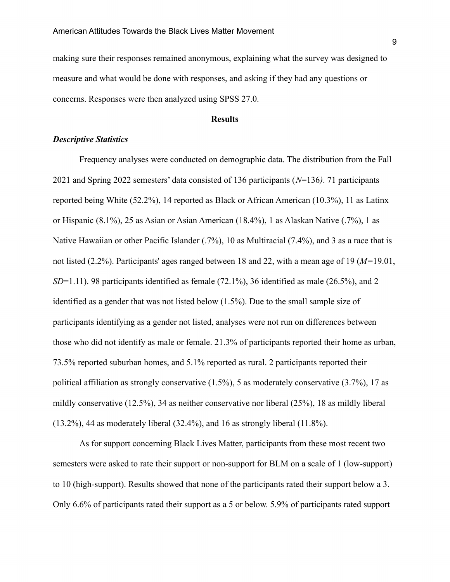making sure their responses remained anonymous, explaining what the survey was designed to measure and what would be done with responses, and asking if they had any questions or concerns. Responses were then analyzed using SPSS 27.0.

# **Results**

### *Descriptive Statistics*

Frequency analyses were conducted on demographic data. The distribution from the Fall 2021 and Spring 2022 semesters' data consisted of 136 participants (*N*=136*)*. 71 participants reported being White (52.2%), 14 reported as Black or African American (10.3%), 11 as Latinx or Hispanic (8.1%), 25 as Asian or Asian American (18.4%), 1 as Alaskan Native (.7%), 1 as Native Hawaiian or other Pacific Islander (.7%), 10 as Multiracial (7.4%), and 3 as a race that is not listed (2.2%). Participants' ages ranged between 18 and 22, with a mean age of 19 (*M=*19.01, *SD*=1.11). 98 participants identified as female (72.1%), 36 identified as male (26.5%), and 2 identified as a gender that was not listed below (1.5%). Due to the small sample size of participants identifying as a gender not listed, analyses were not run on differences between those who did not identify as male or female. 21.3% of participants reported their home as urban, 73.5% reported suburban homes, and 5.1% reported as rural. 2 participants reported their political affiliation as strongly conservative (1.5%), 5 as moderately conservative (3.7%), 17 as mildly conservative (12.5%), 34 as neither conservative nor liberal (25%), 18 as mildly liberal (13.2%), 44 as moderately liberal (32.4%), and 16 as strongly liberal (11.8%).

As for support concerning Black Lives Matter, participants from these most recent two semesters were asked to rate their support or non-support for BLM on a scale of 1 (low-support) to 10 (high-support). Results showed that none of the participants rated their support below a 3. Only 6.6% of participants rated their support as a 5 or below. 5.9% of participants rated support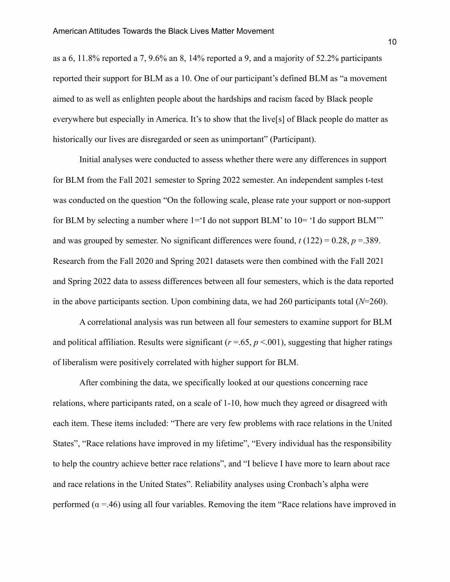as a 6, 11.8% reported a 7, 9.6% an 8, 14% reported a 9, and a majority of 52.2% participants reported their support for BLM as a 10. One of our participant's defined BLM as "a movement aimed to as well as enlighten people about the hardships and racism faced by Black people everywhere but especially in America. It's to show that the live[s] of Black people do matter as historically our lives are disregarded or seen as unimportant" (Participant).

Initial analyses were conducted to assess whether there were any differences in support for BLM from the Fall 2021 semester to Spring 2022 semester. An independent samples t-test was conducted on the question "On the following scale, please rate your support or non-support for BLM by selecting a number where  $1 = 1$  do not support BLM' to  $10 = 1$  do support BLM'" and was grouped by semester. No significant differences were found,  $t(122) = 0.28$ ,  $p = 389$ . Research from the Fall 2020 and Spring 2021 datasets were then combined with the Fall 2021 and Spring 2022 data to assess differences between all four semesters, which is the data reported in the above participants section. Upon combining data, we had 260 participants total (*N*=260).

A correlational analysis was run between all four semesters to examine support for BLM and political affiliation. Results were significant ( $r = .65$ ,  $p < .001$ ), suggesting that higher ratings of liberalism were positively correlated with higher support for BLM.

After combining the data, we specifically looked at our questions concerning race relations, where participants rated, on a scale of 1-10, how much they agreed or disagreed with each item. These items included: "There are very few problems with race relations in the United States", "Race relations have improved in my lifetime", "Every individual has the responsibility to help the country achieve better race relations", and "I believe I have more to learn about race and race relations in the United States". Reliability analyses using Cronbach's alpha were performed ( $\alpha$  =.46) using all four variables. Removing the item "Race relations have improved in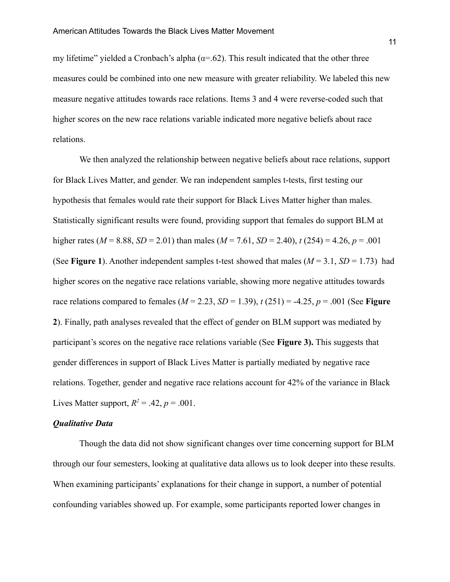my lifetime" yielded a Cronbach's alpha ( $\alpha$ =.62). This result indicated that the other three measures could be combined into one new measure with greater reliability. We labeled this new measure negative attitudes towards race relations. Items 3 and 4 were reverse-coded such that higher scores on the new race relations variable indicated more negative beliefs about race relations.

We then analyzed the relationship between negative beliefs about race relations, support for Black Lives Matter, and gender. We ran independent samples t-tests, first testing our hypothesis that females would rate their support for Black Lives Matter higher than males. Statistically significant results were found, providing support that females do support BLM at higher rates (*M* = 8.88, *SD* = 2.01) than males (*M* = 7.61, *SD* = 2.40), *t* (254) = 4.26, *p* = .001 (See **Figure 1**). Another independent samples t-test showed that males ( $M = 3.1$ ,  $SD = 1.73$ ) had higher scores on the negative race relations variable, showing more negative attitudes towards race relations compared to females (*M* = 2.23, *SD* = 1.39), *t* (251) = -4.25, *p* = .001 (See **Figure 2**). Finally, path analyses revealed that the effect of gender on BLM support was mediated by participant's scores on the negative race relations variable (See **Figure 3).** This suggests that gender differences in support of Black Lives Matter is partially mediated by negative race relations. Together, gender and negative race relations account for 42% of the variance in Black Lives Matter support,  $R^2 = .42$ ,  $p = .001$ .

#### *Qualitative Data*

Though the data did not show significant changes over time concerning support for BLM through our four semesters, looking at qualitative data allows us to look deeper into these results. When examining participants' explanations for their change in support, a number of potential confounding variables showed up. For example, some participants reported lower changes in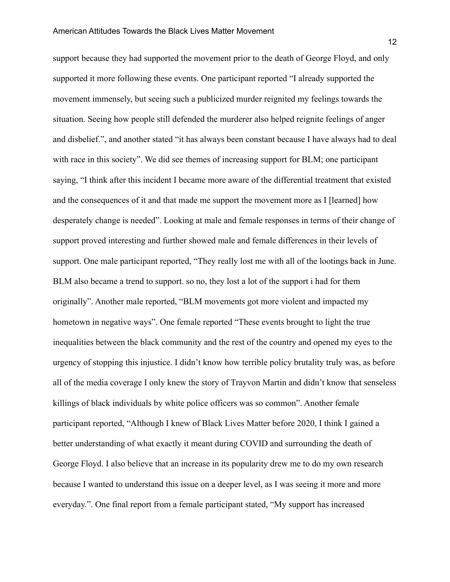support because they had supported the movement prior to the death of George Floyd, and only supported it more following these events. One participant reported "I already supported the movement immensely, but seeing such a publicized murder reignited my feelings towards the situation. Seeing how people still defended the murderer also helped reignite feelings of anger and disbelief.", and another stated "it has always been constant because I have always had to deal with race in this society". We did see themes of increasing support for BLM; one participant saying, "I think after this incident I became more aware of the differential treatment that existed and the consequences of it and that made me support the movement more as I [learned] how desperately change is needed". Looking at male and female responses in terms of their change of support proved interesting and further showed male and female differences in their levels of support. One male participant reported, "They really lost me with all of the lootings back in June. BLM also became a trend to support. so no, they lost a lot of the support i had for them originally". Another male reported, "BLM movements got more violent and impacted my hometown in negative ways". One female reported "These events brought to light the true inequalities between the black community and the rest of the country and opened my eyes to the urgency of stopping this injustice. I didn't know how terrible policy brutality truly was, as before all of the media coverage I only knew the story of Trayvon Martin and didn't know that senseless killings of black individuals by white police officers was so common". Another female participant reported, "Although I knew of Black Lives Matter before 2020, I think I gained a better understanding of what exactly it meant during COVID and surrounding the death of George Floyd. I also believe that an increase in its popularity drew me to do my own research because I wanted to understand this issue on a deeper level, as I was seeing it more and more everyday.". One final report from a female participant stated, "My support has increased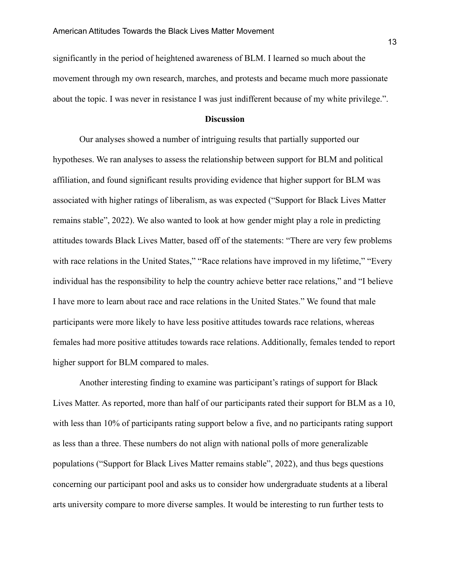significantly in the period of heightened awareness of BLM. I learned so much about the movement through my own research, marches, and protests and became much more passionate about the topic. I was never in resistance I was just indifferent because of my white privilege.".

#### **Discussion**

Our analyses showed a number of intriguing results that partially supported our hypotheses. We ran analyses to assess the relationship between support for BLM and political affiliation, and found significant results providing evidence that higher support for BLM was associated with higher ratings of liberalism, as was expected ("Support for Black Lives Matter remains stable", 2022). We also wanted to look at how gender might play a role in predicting attitudes towards Black Lives Matter, based off of the statements: "There are very few problems with race relations in the United States," "Race relations have improved in my lifetime," "Every individual has the responsibility to help the country achieve better race relations," and "I believe I have more to learn about race and race relations in the United States." We found that male participants were more likely to have less positive attitudes towards race relations, whereas females had more positive attitudes towards race relations. Additionally, females tended to report higher support for BLM compared to males.

Another interesting finding to examine was participant's ratings of support for Black Lives Matter. As reported, more than half of our participants rated their support for BLM as a 10, with less than 10% of participants rating support below a five, and no participants rating support as less than a three. These numbers do not align with national polls of more generalizable populations ("Support for Black Lives Matter remains stable", 2022), and thus begs questions concerning our participant pool and asks us to consider how undergraduate students at a liberal arts university compare to more diverse samples. It would be interesting to run further tests to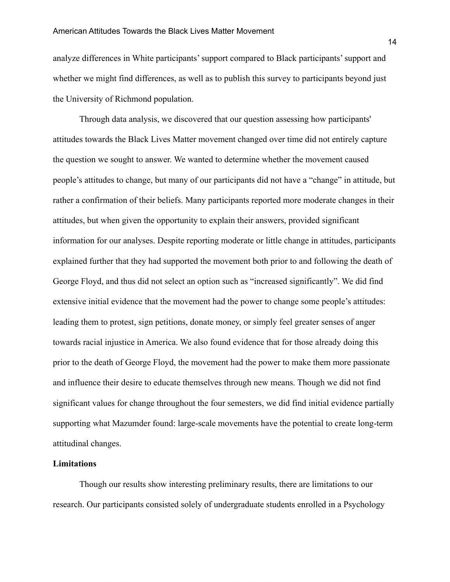analyze differences in White participants' support compared to Black participants' support and whether we might find differences, as well as to publish this survey to participants beyond just the University of Richmond population.

Through data analysis, we discovered that our question assessing how participants' attitudes towards the Black Lives Matter movement changed over time did not entirely capture the question we sought to answer. We wanted to determine whether the movement caused people's attitudes to change, but many of our participants did not have a "change" in attitude, but rather a confirmation of their beliefs. Many participants reported more moderate changes in their attitudes, but when given the opportunity to explain their answers, provided significant information for our analyses. Despite reporting moderate or little change in attitudes, participants explained further that they had supported the movement both prior to and following the death of George Floyd, and thus did not select an option such as "increased significantly". We did find extensive initial evidence that the movement had the power to change some people's attitudes: leading them to protest, sign petitions, donate money, or simply feel greater senses of anger towards racial injustice in America. We also found evidence that for those already doing this prior to the death of George Floyd, the movement had the power to make them more passionate and influence their desire to educate themselves through new means. Though we did not find significant values for change throughout the four semesters, we did find initial evidence partially supporting what Mazumder found: large-scale movements have the potential to create long-term attitudinal changes.

# **Limitations**

Though our results show interesting preliminary results, there are limitations to our research. Our participants consisted solely of undergraduate students enrolled in a Psychology

14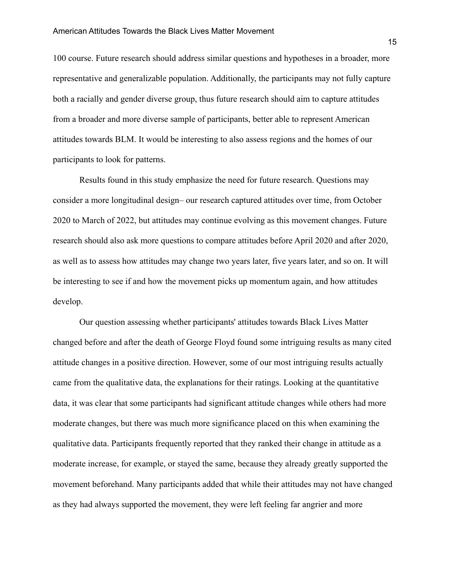100 course. Future research should address similar questions and hypotheses in a broader, more representative and generalizable population. Additionally, the participants may not fully capture both a racially and gender diverse group, thus future research should aim to capture attitudes from a broader and more diverse sample of participants, better able to represent American attitudes towards BLM. It would be interesting to also assess regions and the homes of our participants to look for patterns.

Results found in this study emphasize the need for future research. Questions may consider a more longitudinal design– our research captured attitudes over time, from October 2020 to March of 2022, but attitudes may continue evolving as this movement changes. Future research should also ask more questions to compare attitudes before April 2020 and after 2020, as well as to assess how attitudes may change two years later, five years later, and so on. It will be interesting to see if and how the movement picks up momentum again, and how attitudes develop.

Our question assessing whether participants' attitudes towards Black Lives Matter changed before and after the death of George Floyd found some intriguing results as many cited attitude changes in a positive direction. However, some of our most intriguing results actually came from the qualitative data, the explanations for their ratings. Looking at the quantitative data, it was clear that some participants had significant attitude changes while others had more moderate changes, but there was much more significance placed on this when examining the qualitative data. Participants frequently reported that they ranked their change in attitude as a moderate increase, for example, or stayed the same, because they already greatly supported the movement beforehand. Many participants added that while their attitudes may not have changed as they had always supported the movement, they were left feeling far angrier and more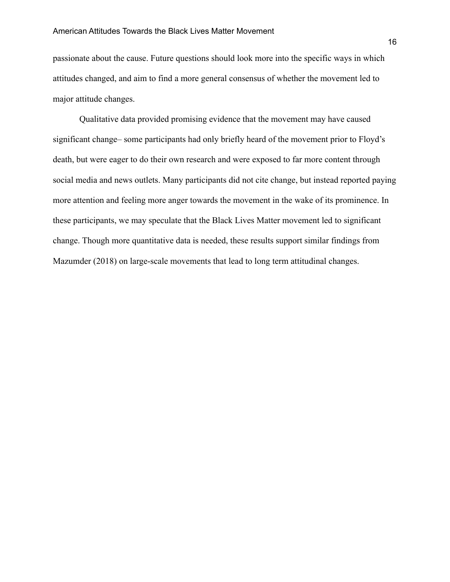passionate about the cause. Future questions should look more into the specific ways in which attitudes changed, and aim to find a more general consensus of whether the movement led to major attitude changes.

Qualitative data provided promising evidence that the movement may have caused significant change– some participants had only briefly heard of the movement prior to Floyd's death, but were eager to do their own research and were exposed to far more content through social media and news outlets. Many participants did not cite change, but instead reported paying more attention and feeling more anger towards the movement in the wake of its prominence. In these participants, we may speculate that the Black Lives Matter movement led to significant change. Though more quantitative data is needed, these results support similar findings from Mazumder (2018) on large-scale movements that lead to long term attitudinal changes.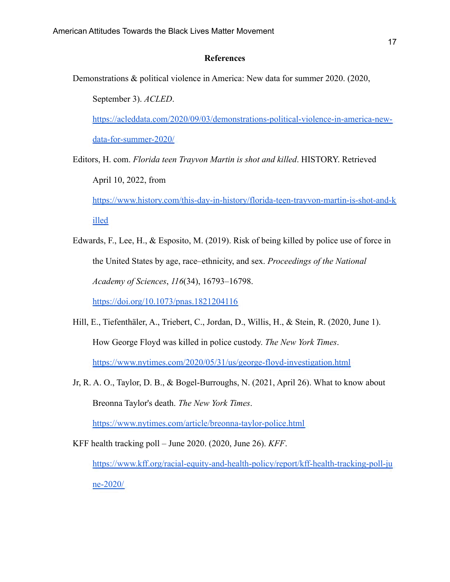# **References**

Demonstrations & political violence in America: New data for summer 2020. (2020,

September 3). *ACLED*. [https://acleddata.com/2020/09/03/demonstrations-political-violence-in-america-new](https://acleddata.com/2020/09/03/demonstrations-political-violence-in-america-new-data-for-summer-2020/)[data-for-summer-2020/](https://acleddata.com/2020/09/03/demonstrations-political-violence-in-america-new-data-for-summer-2020/)

Editors, H. com. *Florida teen Trayvon Martin is shot and killed*. HISTORY. Retrieved April 10, 2022, from [https://www.history.com/this-day-in-history/florida-teen-trayvon-martin-is-shot-and-k](https://www.history.com/this-day-in-history/florida-teen-trayvon-martin-is-shot-and-killed) [illed](https://www.history.com/this-day-in-history/florida-teen-trayvon-martin-is-shot-and-killed)

Edwards, F., Lee, H., & Esposito, M. (2019). Risk of being killed by police use of force in the United States by age, race–ethnicity, and sex. *Proceedings of the National Academy of Sciences*, *116*(34), 16793–16798.

<https://doi.org/10.1073/pnas.1821204116>

- Hill, E., Tiefenthäler, A., Triebert, C., Jordan, D., Willis, H., & Stein, R. (2020, June 1). How George Floyd was killed in police custody. *The New York Times*. <https://www.nytimes.com/2020/05/31/us/george-floyd-investigation.html>
- Jr, R. A. O., Taylor, D. B., & Bogel-Burroughs, N. (2021, April 26). What to know about Breonna Taylor's death. *The New York Times*.

<https://www.nytimes.com/article/breonna-taylor-police.html>

KFF health tracking poll – June 2020. (2020, June 26). *KFF*.

[https://www.kff.org/racial-equity-and-health-policy/report/kff-health-tracking-poll-ju](https://www.kff.org/racial-equity-and-health-policy/report/kff-health-tracking-poll-june-2020/) [ne-2020/](https://www.kff.org/racial-equity-and-health-policy/report/kff-health-tracking-poll-june-2020/)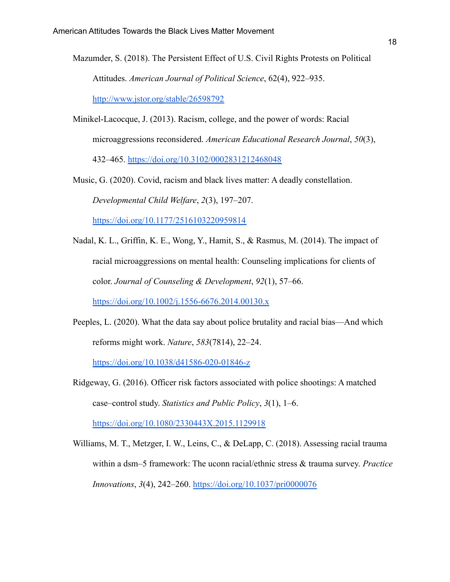- Mazumder, S. (2018). The Persistent Effect of U.S. Civil Rights Protests on Political Attitudes. *American Journal of Political Science*, 62(4), 922–935. <http://www.jstor.org/stable/26598792>
- Minikel-Lacocque, J. (2013). Racism, college, and the power of words: Racial microaggressions reconsidered. *American Educational Research Journal*, *50*(3), 432–465. <https://doi.org/10.3102/0002831212468048>

Music, G. (2020). Covid, racism and black lives matter: A deadly constellation. *Developmental Child Welfare*, *2*(3), 197–207. <https://doi.org/10.1177/2516103220959814>

Nadal, K. L., Griffin, K. E., Wong, Y., Hamit, S., & Rasmus, M. (2014). The impact of racial microaggressions on mental health: Counseling implications for clients of color. *Journal of Counseling & Development*, *92*(1), 57–66.

<https://doi.org/10.1002/j.1556-6676.2014.00130.x>

Peeples, L. (2020). What the data say about police brutality and racial bias—And which reforms might work. *Nature*, *583*(7814), 22–24.

<https://doi.org/10.1038/d41586-020-01846-z>

Ridgeway, G. (2016). Officer risk factors associated with police shootings: A matched case–control study. *Statistics and Public Policy*, *3*(1), 1–6.

<https://doi.org/10.1080/2330443X.2015.1129918>

Williams, M. T., Metzger, I. W., Leins, C., & DeLapp, C. (2018). Assessing racial trauma within a dsm–5 framework: The uconn racial/ethnic stress & trauma survey. *Practice Innovations*, *3*(4), 242–260. <https://doi.org/10.1037/pri0000076>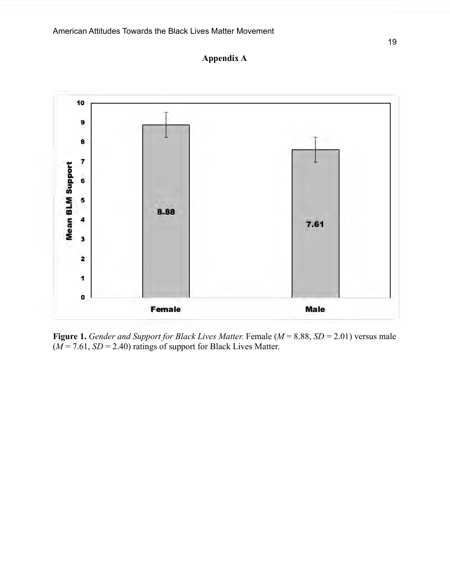



**Figure 1.** *Gender and Support for Black Lives Matter.* Female (*M* = 8.88, *SD* = 2.01) versus male  $(M = 7.61, SD = 2.40)$  ratings of support for Black Lives Matter.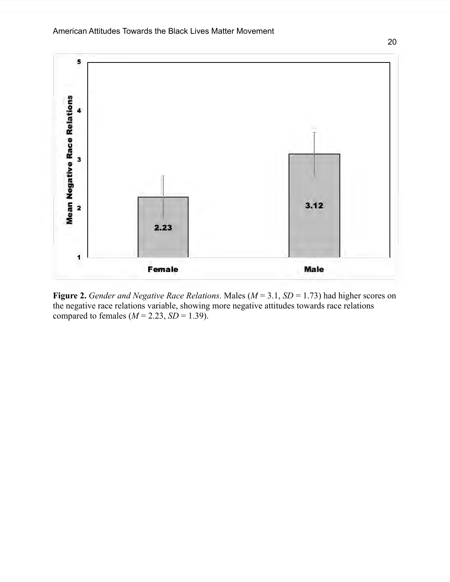

**Figure 2.** *Gender and Negative Race Relations.* Males (*M* = 3.1, *SD* = 1.73) had higher scores on the negative race relations variable, showing more negative attitudes towards race relations compared to females  $(M = 2.23, SD = 1.39)$ .